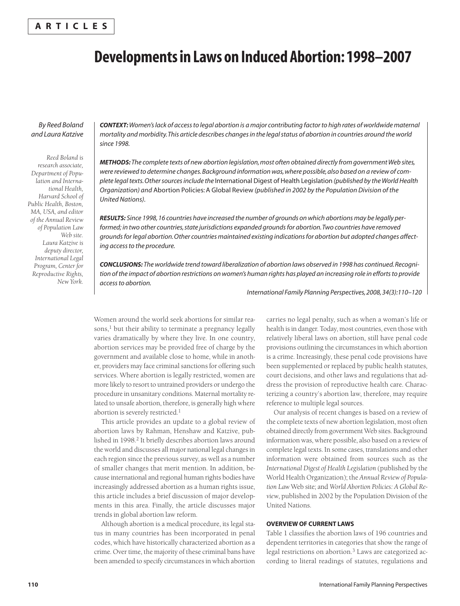# **Developmentsin Laws on Induced Abortion:1998–2007**

# *By Reed Boland and Laura Katzive*

*Reed Boland is research associate, Department of Population and International Health, Harvard School of Public Health, Boston, MA, USA, and editor of the Annual Review of Population Law Web site. Laura Katzive is deputy director, International Legal Program, Center for Reproductive Rights, New York.* *CONTEXT:Women'slack of accessto legal abortion is a major contributing factorto high rates of worldwide maternal mortality and morbidity.This article describes changesin the legalstatus of abortion in countries around the world since 1998.*

*METHODS: The complete texts of new abortion legislation,most often obtained directly from governmentWeb sites, were reviewed to determine changes.Background information was,where possible,also based on a review of complete legaltexts.Othersourcesinclude the* International Digest of Health Legislation *(published by theWorldHealth Organization) and* Abortion Policies:A Global Review *(published in 2002 by the Population Division of the United Nations).*

RESULTS: Since 1998, 16 countries have increased the number of grounds on which abortions may be legally per*formed; in two other countries,state jurisdictions expanded groundsfor abortion.Two countries have removed groundsforlegal abortion.Other countries maintained existing indicationsfor abortion but adopted changes affecting accessto the procedure.*

*CONCLUSIONS: The worldwide trend toward liberalization of abortion laws observed in 1998 has continued.Recogni*tion of the impact of abortion restrictions on women's human rights has played an increasing role in efforts to provide *accessto abortion.*

*International Family Planning Perspectives,2008,34(3):110–120*

Women around the world seek abortions for similar reasons, <sup>1</sup> but their ability to terminate a pregnancy legally varies dramatically by where they live. In one country, abortion services may be provided free of charge by the government and available close to home, while in another, providers may face criminal sanctions for offering such services. Where abortion is legally restricted, women are more likely to resort to untrained providers or undergo the procedure in unsanitary conditions. Maternal mortality related to unsafe abortion, therefore, is generally high where abortion is severely restricted.<sup>1</sup>

This article provides an update to a global review of abortion laws by Rahman, Henshaw and Katzive, published in 1998. <sup>2</sup> It briefly describes abortion laws around the world and discusses all major national legal changes in each region since the previous survey, as well as a number of smaller changes that merit mention. In addition, because international and regional human rights bodies have increasingly addressed abortion as a human rights issue, this article includes a brief discussion of major developments in this area. Finally, the article discusses major trends in global abortion law reform.

Although abortion is a medical procedure, its legal status in many countries has been incorporated in penal codes, which have historically characterized abortion as a crime. Over time, the majority of these criminal bans have been amended to specify circumstances in which abortion carries no legal penalty, such as when a woman's life or health is in danger. Today, most countries, even those with relatively liberal laws on abortion, still have penal code provisions outlining the circumstances in which abortion is a crime. Increasingly, these penal code provisions have been supplemented or replaced by public health statutes, court decisions, and other laws and regulations that address the provision of reproductive health care. Characterizing a country's abortion law, therefore, may require reference to multiple legal sources.

Our analysis of recent changes is based on a review of the complete texts of new abortion legislation, most often obtained directly from government Web sites. Background information was, where possible, also based on a review of complete legal texts. In some cases, translations and other information were obtained from sources such as the *International Digest of Health Legislation* (published by the World Health Organization); the *Annual Review of Population Law* Web site; and *World Abortion Policies: A Global Review*, published in 2002 by the Population Division of the United Nations.

## **OVERVIEW OF CURRENT LAWS**

Table 1 classifies the abortion laws of 196 countries and dependent territories in categories that show the range of legal restrictions on abortion. <sup>3</sup> Laws are categorized according to literal readings of statutes, regulations and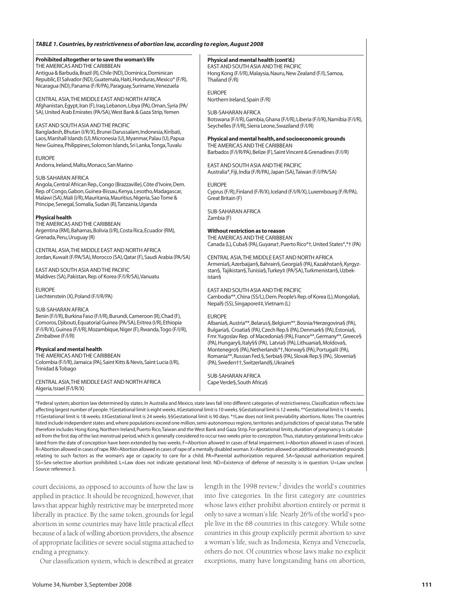#### *TABLE 1.Countries,by restrictiveness of abortion law,according to region,August 2008*

| Prohibited altogether or to save the woman's life                                                                                                                                                                                                                                                  | Physical and mental health (cont'd.)                                                                                                                                             |
|----------------------------------------------------------------------------------------------------------------------------------------------------------------------------------------------------------------------------------------------------------------------------------------------------|----------------------------------------------------------------------------------------------------------------------------------------------------------------------------------|
| THE AMERICAS AND THE CARIBBEAN                                                                                                                                                                                                                                                                     | EAST AND SOUTH ASIA AND THE PACIFIC                                                                                                                                              |
| Antiqua & Barbuda, Brazil (R), Chile (ND), Dominica, Dominican                                                                                                                                                                                                                                     | Hong Kong (F/I/R), Malaysia, Nauru, New Zealand (F/I), Samoa,                                                                                                                    |
| Republic, El Salvador (ND), Guatemala, Haiti, Honduras, Mexico* (F/R),                                                                                                                                                                                                                             | Thailand (F/R)                                                                                                                                                                   |
| Nicaragua (ND), Panama (F/R/PA), Paraguay, Suriname, Venezuela                                                                                                                                                                                                                                     | <b>EUROPE</b>                                                                                                                                                                    |
| CENTRAL ASIA, THE MIDDLE EAST AND NORTH AFRICA                                                                                                                                                                                                                                                     | Northern Ireland, Spain (F/R)                                                                                                                                                    |
| Afghanistan, Egypt, Iran (F), Iraq, Lebanon, Libya (PA), Oman, Syria (PA/                                                                                                                                                                                                                          | <b>SUB-SAHARAN AFRICA</b>                                                                                                                                                        |
| SA), United Arab Emirates (PA/SA), West Bank & Gaza Strip, Yemen                                                                                                                                                                                                                                   | Botswana (F/I/R), Gambia, Ghana (F/I/R), Liberia (F/I/R), Namibia (F/I/R),                                                                                                       |
| EAST AND SOUTH ASIA AND THE PACIFIC                                                                                                                                                                                                                                                                | Seychelles (F/I/R), Sierra Leone, Swaziland (F/I/R)                                                                                                                              |
| Bangladesh, Bhutan (I/R/X), Brunei Darussalam, Indonesia, Kiribati,                                                                                                                                                                                                                                | Physical and mental health, and socioeconomic grounds                                                                                                                            |
| Laos, Marshall Islands (U), Micronesia (U), Myanmar, Palau (U), Papua                                                                                                                                                                                                                              | THE AMERICAS AND THE CARIBBEAN                                                                                                                                                   |
| New Guinea, Philippines, Solomon Islands, Sri Lanka, Tonga, Tuvalu                                                                                                                                                                                                                                 | Barbados (F/I/R/PA), Belize (F), Saint Vincent & Grenadines (F/I/R)                                                                                                              |
| <b>EUROPE</b>                                                                                                                                                                                                                                                                                      | EAST AND SOUTH ASIA AND THE PACIFIC                                                                                                                                              |
| Andorra, Ireland, Malta, Monaco, San Marino                                                                                                                                                                                                                                                        | Australia*, Fiji, India (F/R/PA), Japan (SA), Taiwan (F/I/PA/SA)                                                                                                                 |
| SUB-SAHARAN AFRICA<br>Angola, Central African Rep., Congo (Brazzaville), Côte d'Ivoire, Dem.<br>Rep. of Congo, Gabon, Guinea-Bissau, Kenya, Lesotho, Madagascar,<br>Malawi (SA), Mali (I/R), Mauritania, Mauritius, Nigeria, Sao Tome &<br>Principe, Senegal, Somalia, Sudan (R), Tanzania, Uganda | <b>EUROPE</b><br>Cyprus (F/R), Finland (F/R/X), Iceland (F/I/R/X), Luxembourg (F/R/PA),<br>Great Britain (F)                                                                     |
| <b>Physical health</b>                                                                                                                                                                                                                                                                             | SUB-SAHARAN AFRICA                                                                                                                                                               |
| THE AMERICAS AND THE CARIBBEAN                                                                                                                                                                                                                                                                     | Zambia (F)                                                                                                                                                                       |
| Argentina (RM), Bahamas, Bolivia (I/R), Costa Rica, Ecuador (RM),<br>Grenada, Peru, Uruguay (R)                                                                                                                                                                                                    | Without restriction as to reason<br>THE AMERICAS AND THE CARIBBEAN<br>Canada (L), Cuba§ (PA), Guyana†, Puerto Rico*†, United States*,*† (PA)                                     |
| CENTRAL ASIA, THE MIDDLE EAST AND NORTH AFRICA                                                                                                                                                                                                                                                     | CENTRAL ASIA, THE MIDDLE EAST AND NORTH AFRICA                                                                                                                                   |
| Jordan, Kuwait (F/PA/SA), Morocco (SA), Qatar (F), Saudi Arabia (PA/SA)                                                                                                                                                                                                                            | Armenia§, Azerbaijan§, Bahrain§, Georgia§ (PA), Kazakhstan§, Kyrgyz-                                                                                                             |
| EAST AND SOUTH ASIA AND THE PACIFIC                                                                                                                                                                                                                                                                | stan§, Tajikistan§, Tunisia§, Turkey‡ (PA/SA), Turkmenistan§, Uzbek-                                                                                                             |
| Maldives (SA), Pakistan, Rep. of Korea (F/I/R/SA), Vanuatu                                                                                                                                                                                                                                         | <i>istan§</i>                                                                                                                                                                    |
| <b>EUROPE</b><br>Liechtenstein (X), Poland (F/I/R/PA)                                                                                                                                                                                                                                              | EAST AND SOUTH ASIA AND THE PACIFIC<br>Cambodia**, China (SS/L), Dem. People's Rep. of Korea (L), Mongolia§,<br>Nepal§ (SS), Singapore‡‡, Vietnam (L)                            |
| SUB-SAHARAN AFRICA                                                                                                                                                                                                                                                                                 | <b>EUROPE</b>                                                                                                                                                                    |
| Benin (F/I/R), Burkina Faso (F/I/R), Burundi, Cameroon (R), Chad (F),                                                                                                                                                                                                                              | Albania§, Austria**, Belarus§, Belgium**, Bosnia/Herzegovina§ (PA),                                                                                                              |
| Comoros, Djibouti, Equatorial Guinea (PA/SA), Eritrea (I/R), Ethiopia                                                                                                                                                                                                                              | Bulgaria§, Croatia§ (PA), Czech Rep.§ (PA), Denmark§ (PA), Estonia§,                                                                                                             |
| (F/I/R/X), Guinea (F/I/R), Mozambique, Niger (F), Rwanda, Togo (F/I/R),                                                                                                                                                                                                                            | Fmr. Yugoslav Rep. of Macedonia§ (PA), France**, Germany**, Greece§                                                                                                              |
| Zimbabwe (F/I/R)                                                                                                                                                                                                                                                                                   | (PA), Hungary§, Italy§§ (PA), Latvia§ (PA), Lithuania§, Moldova§,                                                                                                                |
| <b>Physical and mental health</b><br>THE AMERICAS AND THE CARIBBEAN<br>Colombia (F/I/R), Jamaica (PA), Saint Kitts & Nevis, Saint Lucia (I/R),<br>Trinidad & Tobago                                                                                                                                | Montenegro§ (PA), Netherlands*†, Norway§ (PA), Portugal‡ (PA),<br>Romania**, Russian Fed.§, Serbia§ (PA), Slovak Rep.§ (PA), Slovenia§<br>(PA), Sweden††, Switzerland§, Ukraine§ |
| CENTRAL ASIA, THE MIDDLE EAST AND NORTH AFRICA                                                                                                                                                                                                                                                     | <b>SUB-SAHARAN AFRICA</b>                                                                                                                                                        |
| Algeria, Israel (F/I/R/X)                                                                                                                                                                                                                                                                          | Cape Verde§, South Africa§                                                                                                                                                       |
| *Federal system; abortion law determined by states. In Australia and Mexico, state laws fall into different categories of restrictiveness. Classification reflects law                                                                                                                             |                                                                                                                                                                                  |

affecting largest number of people. †Gestational limit is eight weeks. ‡Gestational limit is 10 weeks. §Gestational limit is 12 weeks. \*\*Gestational limit is 14 weeks. ††Gestational limit is 18 weeks. ‡‡Gestational limit is 24 weeks. §§Gestational limit is 90 days. \*†Law does not limit previability abortions.*Notes:* The countries listed include independent states and, where populations exceed one million, semi-autonomous regions, territories and jurisdictions of special status. The table therefore includes Hong Kong, Northern Ireland, Puerto Rico, Taiwan and the West Bank and Gaza Strip. For gestational limits, duration of pregnancy is calculated from the first day of the last menstrual period, which is generally considered to occur two weeks prior to conception. Thus, statutory gestational limits calculated from the date of conception have been extended by two weeks. F=Abortion allowed in cases of fetal impairment. I=Abortion allowed in cases of incest. R=Abortion allowed in cases ofrape.RM=Abortion allowed in cases ofrape of a mentally disabled woman.X=Abortion allowed on additional enumerated grounds relating to such factors as the woman's age or capacity to care for a child. PA=Parental authorization required. SA=Spousal authorization required. SS=Sex-selective abortion prohibited. L=Law does not indicate gestational limit. ND=Existence of defense of necessity is in question. U=Law unclear. *Source:* reference 3.

court decisions, as opposed to accounts of how the law is applied in practice. It should be recognized, however, that laws that appear highly restrictive may be interpreted more liberally in practice. By the same token, grounds for legal abortion in some countries may have little practical effect because of a lack of willing abortion providers, the absence of appropriate facilities or severe social stigma attached to ending a pregnancy.

length in the 1998 review, <sup>2</sup> divides the world's countries into five categories. In the first category are countries whose laws either prohibit abortion entirely or permit it only to save a woman's life. Nearly 26% of the world's people live in the 68 countries in this category. While some countries in this group explicitly permit abortion to save a woman's life, such as Indonesia, Kenya and Venezuela, others do not. Of countries whose laws make no explicit exceptions, many have longstanding bans on abortion,

Our classification system, which is described at greater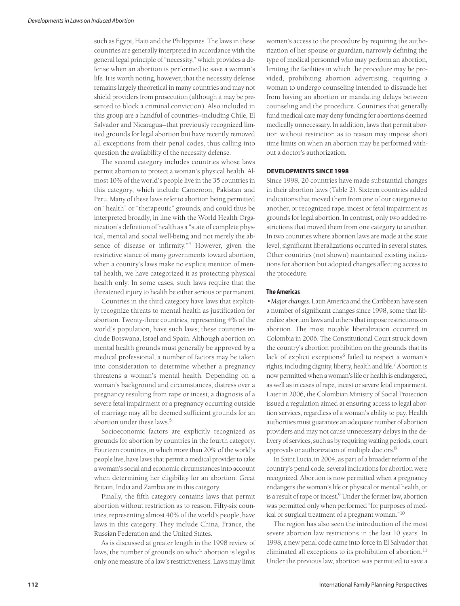such as Egypt, Haiti and the Philippines. The laws in these countries are generally interpreted in accordance with the general legal principle of "necessity," which provides a defense when an abortion is performed to save a woman's life. It is worth noting, however, that the necessity defense remains largely theoretical in many countries and may not shield providers from prosecution (although it may be presented to block a criminal conviction). Also included in this group are a handful of countries—including Chile, El Salvador and Nicaragua—that previously recognized limited grounds for legal abortion but have recently removed all exceptions from their penal codes, thus calling into question the availability of the necessity defense.

The second category includes countries whose laws permit abortion to protect a woman's physical health. Almost 10% of the world's people live in the 35 countries in this category, which include Cameroon, Pakistan and Peru. Many of these laws refer to abortion being permitted on "health" or "therapeutic" grounds, and could thus be interpreted broadly, in line with the World Health Organization's definition of health as a "state of complete physical, mental and social well-being and not merely the absence of disease or infirmity."<sup>4</sup> However, given the restrictive stance of many governments toward abortion, when a country's laws make no explicit mention of mental health, we have categorized it as protecting physical health only. In some cases, such laws require that the threatened injury to health be either serious or permanent.

Countries in the third category have laws that explicitly recognize threats to mental health as justification for abortion. Twenty-three countries, representing 4% of the world's population, have such laws; these countries include Botswana, Israel and Spain. Although abortion on mental health grounds must generally be approved by a medical professional, a number of factors may be taken into consideration to determine whether a pregnancy threatens a woman's mental health. Depending on a woman's background and circumstances, distress over a pregnancy resulting from rape or incest, a diagnosis of a severe fetal impairment or a pregnancy occurring outside of marriage may all be deemed sufficient grounds for an abortion under these laws. 5

Socioeconomic factors are explicitly recognized as grounds for abortion by countries in the fourth category. Fourteen countries, in which more than 20% of the world's people live, have laws that permit a medical provider to take a woman's social and economic circumstances into account when determining her eligibility for an abortion. Great Britain, India and Zambia are in this category.

Finally, the fifth category contains laws that permit abortion without restriction as to reason. Fifty-six countries, representing almost 40% of the world's people, have laws in this category. They include China, France, the Russian Federation and the United States.

As is discussed at greater length in the 1998 review of laws, the number of grounds on which abortion is legal is only one measure of a law's restrictiveness. Laws may limit women's access to the procedure by requiring the authorization of her spouse or guardian, narrowly defining the type of medical personnel who may perform an abortion, limiting the facilities in which the procedure may be provided, prohibiting abortion advertising, requiring a woman to undergo counseling intended to dissuade her from having an abortion or mandating delays between counseling and the procedure. Countries that generally fund medical care may deny funding for abortions deemed medically unnecessary. In addition, laws that permit abortion without restriction as to reason may impose short time limits on when an abortion may be performed without a doctor's authorization.

## **DEVELOPMENTS SINCE 1998**

Since 1998, 20 countries have made substantial changes in their abortion laws (Table 2). Sixteen countries added indications that moved them from one of our categories to another, or recognized rape, incest or fetal impairment as grounds for legal abortion. In contrast, only two added restrictions that moved them from one category to another. In two countries where abortion laws are made at the state level, significant liberalizations occurred in several states. Other countries (not shown) maintained existing indications for abortion but adopted changes affecting access to the procedure.

## **The Americas**

• Major changes. Latin America and the Caribbean have seen a number of significant changes since 1998, some that liberalize abortion laws and others that impose restrictions on abortion. The most notable liberalization occurred in Colombia in 2006. The Constitutional Court struck down the country's abortion prohibition on the grounds that its lack of explicit exceptions<sup>6</sup> failed to respect a woman's rights, including dignity, liberty, health and life. <sup>7</sup> Abortion is now permitted when a woman's life or health is endangered, as well as in cases ofrape, incest or severe fetal impairment. Later in 2006, the Colombian Ministry of Social Protection issued a regulation aimed at ensuring access to legal abortion services, regardless of a woman's ability to pay. Health authorities must guarantee an adequate number of abortion providers and may not cause unnecessary delays in the delivery of services, such as by requiring waiting periods, court approvals or authorization of multiple doctors.<sup>8</sup>

In Saint Lucia, in 2004, as part of a broader reform of the country's penal code, several indications for abortion were recognized. Abortion is now permitted when a pregnancy endangers the woman's life or physical or mental health, or is a result of rape or incest.<sup>9</sup> Under the former law, abortion was permitted only when performed "for purposes of medical or surgical treatment of a pregnant woman."10

The region has also seen the introduction of the most severe abortion law restrictions in the last 10 years. In 1998, a new penal code came into force in El Salvador that eliminated all exceptions to its prohibition of abortion.<sup>11</sup> Under the previous law, abortion was permitted to save a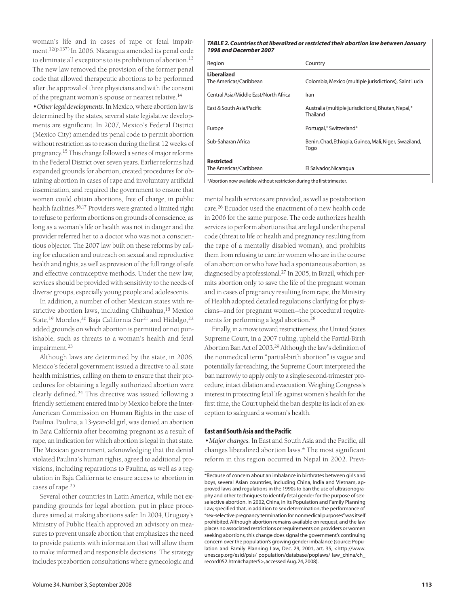woman's life and in cases of rape or fetal impairment. 12(p.137) In 2006, Nicaragua amended its penal code to eliminate all exceptions to its prohibition of abortion. 13 The new law removed the provision of the former penal code that allowed therapeutic abortions to be performed after the approval of three physicians and with the consent of the pregnant woman's spouse or nearest relative.<sup>14</sup>

*•Otherlegal developments.*In Mexico, where abortion law is determined by the states, several state legislative developments are significant. In 2007, Mexico's Federal District (Mexico City) amended its penal code to permit abortion without restriction as to reason during the first 12 weeks of pregnancy.<sup>15</sup> This change followed a series of major reforms in the Federal District over seven years. Earlier reforms had expanded grounds for abortion, created procedures for obtaining abortion in cases of rape and involuntary artificial insemination, and required the government to ensure that women could obtain abortions, free of charge, in public health facilities. 16,17 Providers were granted a limited right to refuse to perform abortions on grounds of conscience, as long as a woman's life or health was not in danger and the provider referred her to a doctor who was not a conscientious objector. The 2007 law built on these reforms by calling for education and outreach on sexual and reproductive health and rights, as well as provision of the full range of safe and effective contraceptive methods. Under the new law, services should be provided with sensitivity to the needs of diverse groups, especially young people and adolescents.

In addition, a number of other Mexican states with restrictive abortion laws, including Chihuahua, <sup>18</sup> Mexico State,<sup>19</sup> Morelos,<sup>20</sup> Baja California Sur<sup>21</sup> and Hidalgo,<sup>22</sup> added grounds on which abortion is permitted or not punishable, such as threats to a woman's health and fetal impairment. 23

Although laws are determined by the state, in 2006, Mexico's federal government issued a directive to all state health ministries, calling on them to ensure that their procedures for obtaining a legally authorized abortion were clearly defined. <sup>24</sup> This directive was issued following a friendly settlement entered into by Mexico before the Inter-American Commission on Human Rights in the case of Paulina. Paulina, a 13-year-old girl, was denied an abortion in Baja California after becoming pregnant as a result of rape, an indication for which abortion is legal in that state. The Mexican government, acknowledging that the denial violated Paulina's human rights, agreed to additional provisions, including reparations to Paulina, as well as a regulation in Baja California to ensure access to abortion in cases of rape. 25

Several other countries in Latin America, while not expanding grounds for legal abortion, put in place procedures aimed at making abortions safer. In 2004, Uruguay's Ministry of Public Health approved an advisory on measures to prevent unsafe abortion that emphasizes the need to provide patients with information that will allow them to make informed and responsible decisions. The strategy includes preabortion consultations where gynecologic and

#### *TABLE 2.Countries thatliberalized orrestricted their abortion law between January 1998 andDecember 2007*

| Region                                       | Country                                                         |
|----------------------------------------------|-----------------------------------------------------------------|
| <b>Liberalized</b><br>The Americas/Caribbean | Colombia, Mexico (multiple jurisdictions), Saint Lucia          |
| Central Asia/Middle East/North Africa        | Iran                                                            |
|                                              |                                                                 |
| East & South Asia/Pacific                    | Australia (multiple jurisdictions), Bhutan, Nepal,*<br>Thailand |
| Europe                                       | Portugal,* Switzerland*                                         |
| Sub-Saharan Africa                           | Benin, Chad, Ethiopia, Guinea, Mali, Niger, Swaziland,<br>Togo  |
| <b>Restricted</b><br>The Americas/Caribbean  | El Salvador, Nicaragua                                          |

 $\vert$  \*Abortion now available without restriction during the first trimester.

mental health services are provided, as well as postabortion care. <sup>26</sup> Ecuador used the enactment of a new health code in 2006 for the same purpose. The code authorizes health services to perform abortions that are legal under the penal code (threat to life or health and pregnancy resulting from the rape of a mentally disabled woman), and prohibits them from refusing to care for women who are in the course of an abortion or who have had a spontaneous abortion, as diagnosed by a professional. <sup>27</sup> In 2005, in Brazil, which permits abortion only to save the life of the pregnant woman and in cases of pregnancy resulting from rape, the Ministry of Health adopted detailed regulations clarifying for physicians—and for pregnant women—the procedural requirements for performing a legal abortion. 28

Finally, in a move toward restrictiveness, the United States Supreme Court, in a 2007 ruling, upheld the Partial-Birth Abortion Ban Act of 2003. <sup>29</sup> Although the law's definition of the nonmedical term "partial-birth abortion" is vague and potentially far-reaching, the Supreme Court interpreted the ban narrowly to apply only to a single second-trimester procedure, intact dilation and evacuation. Weighing Congress's interest in protecting fetal life against women's health forthe first time, the Court upheld the ban despite its lack of an exception to safeguard a woman's health.

## **East and South Asia and the Pacific**

*•Majorchanges.* In East and South Asia and the Pacific, all changes liberalized abortion laws.\* The most significant reform in this region occurred in Nepal in 2002. Previ-

<sup>\*</sup>Because of concern about an imbalance in birthrates between girls and boys, several Asian countries, including China, India and Vietnam, approved laws and regulations in the 1990s to ban the use of ultrasonography and other techniques to identify fetal gender for the purpose of sexselective abortion. In 2002, China, in its Population and Family Planning Law, specified that, in addition to sex determination, the performance of "sex-selective pregnancy termination for nonmedical purposes"wasitself prohibited.Although abortion remains available on request, and the law places no associated restrictions or requirements on providers or women seeking abortions, this change does signal the government's continuing concern over the population's growing gender imbalance (source:Population and Family Planning Law, Dec. 29, 2001, art. 35, <http://www. unescap.org/esid/psis/ population/database/poplaws/ law\_china/ch\_ record052.htm#chapter5>,accessed Aug.24,2008).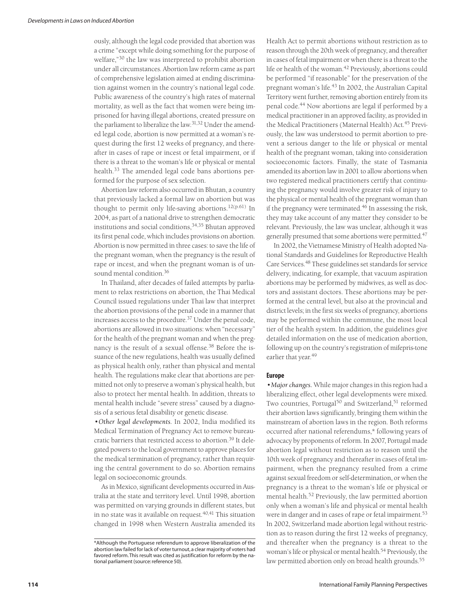ously, although the legal code provided that abortion was a crime "except while doing something for the purpose of welfare,"<sup>30</sup> the law was interpreted to prohibit abortion under all circumstances. Abortion law reform came as part of comprehensive legislation aimed at ending discrimination against women in the country's national legal code. Public awareness of the country's high rates of maternal mortality, as well as the fact that women were being imprisoned for having illegal abortions, created pressure on the parliament to liberalize the law.<sup>31,32</sup> Under the amended legal code, abortion is now permitted at a woman's request during the first 12 weeks of pregnancy, and thereafter in cases of rape or incest or fetal impairment, or if there is a threat to the woman's life or physical or mental health. <sup>33</sup> The amended legal code bans abortions performed for the purpose of sex selection.

Abortion law reform also occurred in Bhutan, a country that previously lacked a formal law on abortion but was thought to permit only life-saving abortions. 12(p.61) In 2004, as part of a national drive to strengthen democratic institutions and social conditions, 34,35 Bhutan approved its first penal code, which includes provisions on abortion. Abortion is now permitted in three cases: to save the life of the pregnant woman, when the pregnancy is the result of rape or incest, and when the pregnant woman is of unsound mental condition. 36

In Thailand, after decades of failed attempts by parliament to relax restrictions on abortion, the Thai Medical Council issued regulations under Thai law that interpret the abortion provisions of the penal code in a manner that increases access to the procedure.<sup>37</sup> Under the penal code, abortions are allowed in two situations: when "necessary" for the health of the pregnant woman and when the pregnancy is the result of a sexual offense. <sup>38</sup> Before the issuance of the new regulations, health was usually defined as physical health only, rather than physical and mental health. The regulations make clear that abortions are permitted not only to preserve a woman's physical health, but also to protect her mental health. In addition, threats to mental health include "severe stress" caused by a diagnosis of a serious fetal disability or genetic disease.

*•Other legal developments*. In 2002, India modified its Medical Termination of Pregnancy Act to remove bureaucratic barriers that restricted access to abortion. <sup>39</sup> It delegated powers to the local government to approve places for the medical termination of pregnancy, rather than requiring the central government to do so. Abortion remains legal on socioeconomic grounds.

As in Mexico, significant developments occurred in Australia at the state and territory level. Until 1998, abortion was permitted on varying grounds in different states, but in no state was it available on request. 40,41 This situation changed in 1998 when Western Australia amended its

Health Act to permit abortions without restriction as to reason through the 20th week of pregnancy, and thereafter in cases of fetal impairment or when there is a threat to the life or health of the woman. <sup>42</sup> Previously, abortions could be performed "if reasonable" for the preservation of the pregnant woman's life. <sup>43</sup> In 2002, the Australian Capital Territory went further, removing abortion entirely from its penal code. <sup>44</sup> Now abortions are legal if performed by a medical practitioner in an approved facility, as provided in the Medical Practitioners (Maternal Health) Act. <sup>45</sup> Previously, the law was understood to permit abortion to prevent a serious danger to the life or physical or mental health of the pregnant woman, taking into consideration socioeconomic factors. Finally, the state of Tasmania amended its abortion law in 2001 to allow abortions when two registered medical practitioners certify that continuing the pregnancy would involve greater risk of injury to the physical or mental health of the pregnant woman than if the pregnancy were terminated. <sup>46</sup> In assessing the risk, they may take account of any matter they consider to be relevant. Previously, the law was unclear, although it was generally presumed that some abortions were permitted. 47

In 2002, the Vietnamese Ministry of Health adopted National Standards and Guidelines for Reproductive Health Care Services. <sup>48</sup> These guidelines set standards for service delivery, indicating, for example, that vacuum aspiration abortions may be performed by midwives, as well as doctors and assistant doctors. These abortions may be performed at the central level, but also at the provincial and district levels; in the first six weeks of pregnancy, abortions may be performed within the commune, the most local tier of the health system. In addition, the guidelines give detailed information on the use of medication abortion, following up on the country's registration of mifepris-tone earlier that year. 49

#### **Europe**

*•Majorchanges.* While major changes in this region had a liberalizing effect, other legal developments were mixed. Two countries, Portugal <sup>50</sup> and Switzerland, <sup>51</sup> reformed their abortion laws significantly, bringing them within the mainstream of abortion laws in the region. Both reforms occurred after national referendums,\* following years of advocacy by proponents of reform. In 2007, Portugal made abortion legal without restriction as to reason until the 10th week of pregnancy and thereafter in cases of fetal impairment, when the pregnancy resulted from a crime against sexual freedom or self-determination, or when the pregnancy is a threat to the woman's life or physical or mental health. <sup>52</sup> Previously, the law permitted abortion only when a woman's life and physical or mental health were in danger and in cases of rape or fetal impairment. 53 In 2002, Switzerland made abortion legal without restriction as to reason during the first 12 weeks of pregnancy, and thereafter when the pregnancy is a threat to the woman's life or physical or mental health. <sup>54</sup> Previously, the law permitted abortion only on broad health grounds. 55

<sup>\*</sup>Although the Portuguese referendum to approve liberalization of the abortion law failed for lack of voter turnout, a clear majority of voters had favored reform.This result was cited as justification for reform by the national parliament (source: reference 50).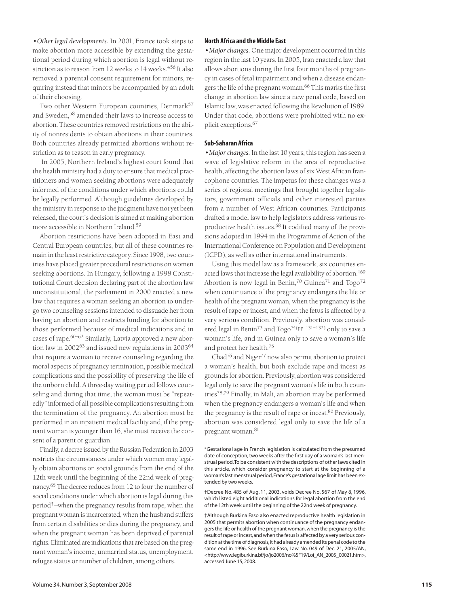*•Other legal developments.* In 2001, France took steps to make abortion more accessible by extending the gestational period during which abortion is legal without restriction as to reason from 12 weeks to 14 weeks.\*56 It also removed a parental consent requirement for minors, requiring instead that minors be accompanied by an adult of their choosing.

Two other Western European countries, Denmark<sup>57</sup> and Sweden, <sup>58</sup> amended their laws to increase access to abortion. These countries removed restrictions on the ability of nonresidents to obtain abortions in their countries. Both countries already permitted abortions without restriction as to reason in early pregnancy.

In 2005, Northern Ireland's highest court found that the health ministry had a duty to ensure that medical practitioners and women seeking abortions were adequately informed of the conditions under which abortions could be legally performed. Although guidelines developed by the ministry in response to the judgment have not yet been released, the court's decision is aimed at making abortion more accessible in Northern Ireland. 59

Abortion restrictions have been adopted in East and Central European countries, but all of these countries remain in the least restrictive category. Since 1998, two countries have placed greater procedural restrictions on women seeking abortions. In Hungary, following a 1998 Constitutional Court decision declaring part of the abortion law unconstitutional, the parliament in 2000 enacted a new law that requires a woman seeking an abortion to undergo two counseling sessions intended to dissuade her from having an abortion and restricts funding for abortion to those performed because of medical indications and in cases of rape. 60–62 Similarly, Latvia approved a new abortion law in 2002<sup>63</sup> and issued new regulations in 2003<sup>64</sup> that require a woman to receive counseling regarding the moral aspects of pregnancy termination, possible medical complications and the possibility of preserving the life of the unborn child. A three-day waiting period follows counseling and during that time, the woman must be "repeatedly"informed of all possible complications resulting from the termination of the pregnancy. An abortion must be performed in an inpatient medical facility and, if the pregnant woman is younger than 16, she must receive the consent of a parent or guardian.

Finally, a decree issued by the Russian Federation in 2003 restricts the circumstances under which women may legally obtain abortions on social grounds from the end of the 12th week until the beginning of the 22nd week of pregnancy. <sup>65</sup> The decree reduces from 12 to four the number of social conditions under which abortion is legal during this period†—when the pregnancy results from rape, when the pregnant woman is incarcerated, when the husband suffers from certain disabilities or dies during the pregnancy, and when the pregnant woman has been deprived of parental rights. Eliminated are indications that are based on the pregnant woman's income, unmarried status, unemployment, refugee status or number of children, among others.

#### **North Africa and theMiddle East**

• Major changes. One major development occurred in this region in the last 10 years. In 2005, Iran enacted a law that allows abortions during the first four months of pregnancy in cases of fetal impairment and when a disease endangers the life of the pregnant woman. <sup>66</sup> This marks the first change in abortion law since a new penal code, based on Islamic law, was enacted following the Revolution of 1989. Under that code, abortions were prohibited with no explicit exceptions. 67

### **Sub-Saharan Africa**

*•Majorchanges.* In the last 10 years, this region has seen a wave of legislative reform in the area of reproductive health, affecting the abortion laws of six West African francophone countries. The impetus for these changes was a series of regional meetings that brought together legislators, government officials and other interested parties from a number of West African countries. Participants drafted a model law to help legislators address various reproductive health issues. <sup>68</sup> It codified many of the provisions adopted in 1994 in the Programme of Action of the International Conference on Population and Development (ICPD), as well as other international instruments.

Using this model law as a framework, six countries enacted laws that increase the legal availability of abortion. ‡69 Abortion is now legal in Benin,<sup>70</sup> Guinea<sup>71</sup> and Togo<sup>72</sup> when continuance of the pregnancy endangers the life or health of the pregnant woman, when the pregnancy is the result of rape or incest, and when the fetus is affected by a very serious condition. Previously, abortion was considered legal in Benin<sup>73</sup> and Togo<sup>74(pp. 131-132)</sup> only to save a woman's life, and in Guinea only to save a woman's life and protect her health. 75

Chad76 and Niger77 now also permit abortion to protect a woman's health, but both exclude rape and incest as grounds for abortion. Previously, abortion was considered legal only to save the pregnant woman's life in both countries78,79 Finally, in Mali, an abortion may be performed when the pregnancy endangers a woman's life and when the pregnancy is the result of rape or incest. <sup>80</sup> Previously, abortion was considered legal only to save the life of a pregnant woman. 81

†Decree No. 485 of Aug. 11, 2003, voids Decree No. 567 of May 8, 1996, which listed eight additional indications for legal abortion from the end of the 12th week until the beginning of the 22nd week of pregnancy.

‡Although Burkina Faso also enacted reproductive health legislation in 2005 that permits abortion when continuance of the pregnancy endangers the life or health of the pregnant woman, when the pregnancy is the result of rape or incest, and when the fetus is affected by a very serious condition at the time of diagnosis, it had already amended its penal code to the same end in 1996. See Burkina Faso, Law No. 049 of Dec. 21, 2005/AN, <http://www.legiburkina.bf/jo/jo2006/no%5F19/Loi\_AN\_2005\_00021.htm>, accessed June 15,2008.

<sup>\*</sup>Gestational age in French legislation is calculated from the presumed date of conception, two weeks after the first day of a woman's last menstrual period.To be consistent with the descriptions of other laws cited in this article, which consider pregnancy to start at the beginning of a woman'slast menstrual period,France's gestational age limit has been extended by two weeks.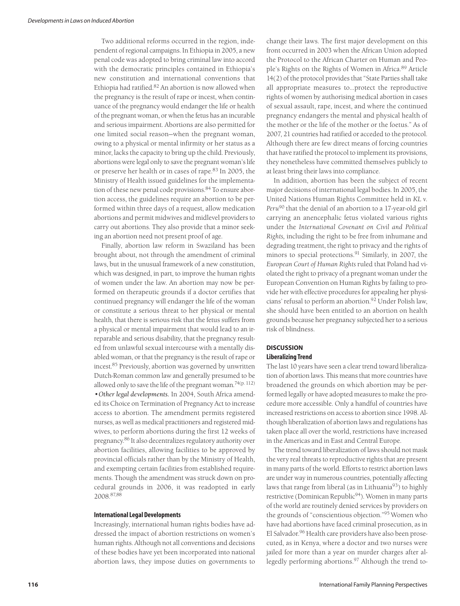Two additional reforms occurred in the region, independent of regional campaigns. In Ethiopia in 2005, a new penal code was adopted to bring criminal law into accord with the democratic principles contained in Ethiopia's new constitution and international conventions that Ethiopia had ratified. <sup>82</sup> An abortion is now allowed when the pregnancy is the result of rape or incest, when continuance of the pregnancy would endanger the life or health of the pregnant woman, or when the fetus has an incurable and serious impairment. Abortions are also permitted for one limited social reason—when the pregnant woman, owing to a physical or mental infirmity or her status as a minor, lacks the capacity to bring up the child. Previously, abortions were legal only to save the pregnant woman's life or preserve her health or in cases of rape. <sup>83</sup> In 2005, the Ministry of Health issued guidelines for the implementation of these new penal code provisions. <sup>84</sup> To ensure abortion access, the guidelines require an abortion to be performed within three days of a request, allow medication abortions and permit midwives and midlevel providers to carry out abortions. They also provide that a minor seeking an abortion need not present proof of age.

Finally, abortion law reform in Swaziland has been brought about, not through the amendment of criminal laws, but in the unusual framework of a new constitution, which was designed, in part, to improve the human rights of women under the law. An abortion may now be performed on therapeutic grounds if a doctor certifies that continued pregnancy will endanger the life of the woman or constitute a serious threat to her physical or mental health, that there is serious risk that the fetus suffers from a physical or mental impairment that would lead to an irreparable and serious disability, that the pregnancy resulted from unlawful sexual intercourse with a mentally disabled woman, or that the pregnancy is the result of rape or incest. <sup>85</sup> Previously, abortion was governed by unwritten Dutch-Roman common law and generally presumed to be allowed only to save the life of the pregnant woman.<sup>74(p. 112)</sup> *•Other legal developments.* In 2004, South Africa amended its Choice on Termination of Pregnancy Act to increase access to abortion. The amendment permits registered nurses, as well as medical practitioners and registered midwives, to perform abortions during the first 12 weeks of pregnancy. <sup>86</sup> It also decentralizes regulatory authority over abortion facilities, allowing facilities to be approved by provincial officials rather than by the Ministry of Health, and exempting certain facilities from established requirements. Though the amendment was struck down on procedural grounds in 2006, it was readopted in early 2008. 87,88

#### **InternationalLegal Developments**

Increasingly, international human rights bodies have addressed the impact of abortion restrictions on women's human rights. Although not all conventions and decisions of these bodies have yet been incorporated into national abortion laws, they impose duties on governments to

change their laws. The first major development on this front occurred in 2003 when the African Union adopted the Protocol to the African Charter on Human and People's Rights on the Rights of Women in Africa. <sup>89</sup> Article 14(2) of the protocol provides that"State Parties shall take all appropriate measures to…protect the reproductive rights of women by authorising medical abortion in cases of sexual assault, rape, incest, and where the continued pregnancy endangers the mental and physical health of the mother or the life of the mother or the foetus." As of 2007, 21 countries had ratified or acceded to the protocol. Although there are few direct means of forcing countries that have ratified the protocol to implement its provisions, they nonetheless have committed themselves publicly to at least bring their laws into compliance.

In addition, abortion has been the subject of recent major decisions of international legal bodies. In 2005, the United Nations Human Rights Committee held in *KL v. Peru*<sup>90</sup> that the denial of an abortion to a 17-year-old girl carrying an anencephalic fetus violated various rights under the *International Covenant on Civil and Political Rights,* including the right to be free from inhumane and degrading treatment, the right to privacy and the rights of minors to special protections. <sup>91</sup> Similarly, in 2007, the *European Court of Human Rights* ruled that Poland had violated the right to privacy of a pregnant woman under the European Convention on Human Rights by failing to provide her with effective procedures for appealing her physicians' refusal to perform an abortion. <sup>92</sup> Under Polish law, she should have been entitled to an abortion on health grounds because her pregnancy subjected her to a serious risk of blindness.

### **DISCUSSION**

## **Liberalizing Trend**

The last 10 years have seen a clear trend toward liberalization of abortion laws. This means that more countries have broadened the grounds on which abortion may be performed legally or have adopted measures to make the procedure more accessible. Only a handful of countries have increased restrictions on access to abortion since 1998. Although liberalization of abortion laws and regulations has taken place all over the world, restrictions have increased in the Americas and in East and Central Europe.

The trend toward liberalization of laws should not mask the very real threats to reproductive rights that are present in many parts of the world. Efforts to restrict abortion laws are under way in numerous countries, potentially affecting laws that range from liberal (as in Lithuania $93$ ) to highly restrictive (Dominican Republic<sup>94</sup>). Women in many parts of the world are routinely denied services by providers on the grounds of "conscientious objection."<sup>95</sup> Women who have had abortions have faced criminal prosecution, as in El Salvador. <sup>96</sup> Health care providers have also been prosecuted, as in Kenya, where a doctor and two nurses were jailed for more than a year on murder charges after allegedly performing abortions. <sup>97</sup> Although the trend to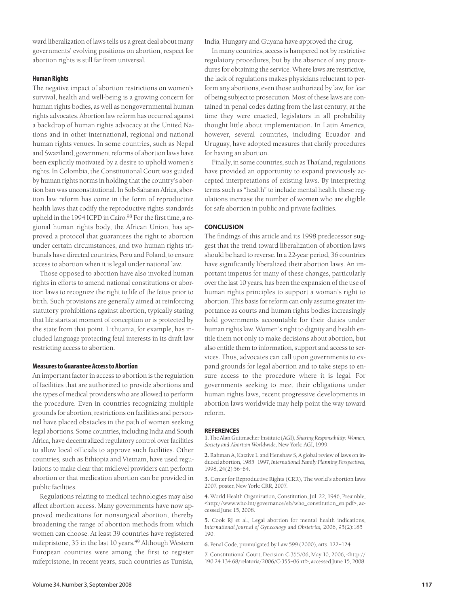ward liberalization of laws tells us a great deal about many governments' evolving positions on abortion, respect for abortion rights is still far from universal.

### **Human Rights**

The negative impact of abortion restrictions on women's survival, health and well-being is a growing concern for human rights bodies, as well as nongovernmental human rights advocates. Abortion law reform has occurred against a backdrop of human rights advocacy at the United Nations and in other international, regional and national human rights venues. In some countries, such as Nepal and Swaziland, government reforms of abortion laws have been explicitly motivated by a desire to uphold women's rights. In Colombia, the Constitutional Court was guided by human rights norms in holding that the country's abortion ban was unconstitutional. In Sub-Saharan Africa, abortion law reform has come in the form of reproductive health laws that codify the reproductive rights standards upheld in the 1994 ICPD in Cairo.<sup>98</sup> For the first time, a regional human rights body, the African Union, has approved a protocol that guarantees the right to abortion under certain circumstances, and two human rights tribunals have directed countries, Peru and Poland, to ensure access to abortion when it is legal under national law.

Those opposed to abortion have also invoked human rights in efforts to amend national constitutions or abortion laws to recognize the right to life of the fetus prior to birth. Such provisions are generally aimed at reinforcing statutory prohibitions against abortion, typically stating that life starts at moment of conception or is protected by the state from that point. Lithuania, for example, has included language protecting fetal interests in its draft law restricting access to abortion.

#### **Measuresto Guarantee Accessto Abortion**

An important factor in access to abortion is the regulation of facilities that are authorized to provide abortions and the types of medical providers who are allowed to perform the procedure. Even in countries recognizing multiple grounds for abortion, restrictions on facilities and personnel have placed obstacles in the path of women seeking legal abortions. Some countries, including India and South Africa, have decentralized regulatory control over facilities to allow local officials to approve such facilities. Other countries, such as Ethiopia and Vietnam, have used regulations to make clear that midlevel providers can perform abortion or that medication abortion can be provided in public facilities.

Regulations relating to medical technologies may also affect abortion access. Many governments have now approved medications for nonsurgical abortion, thereby broadening the range of abortion methods from which women can choose. At least 39 countries have registered mifepristone, 35 in the last 10 years. <sup>49</sup> Although Western European countries were among the first to register mifepristone, in recent years, such countries as Tunisia,

India, Hungary and Guyana have approved the drug.

In many countries, access is hampered not by restrictive regulatory procedures, but by the absence of any procedures for obtaining the service. Where laws are restrictive, the lack of regulations makes physicians reluctant to perform any abortions, even those authorized by law, for fear of being subject to prosecution. Most of these laws are contained in penal codes dating from the last century; at the time they were enacted, legislators in all probability thought little about implementation. In Latin America, however, several countries, including Ecuador and Uruguay, have adopted measures that clarify procedures for having an abortion.

Finally, in some countries, such as Thailand, regulations have provided an opportunity to expand previously accepted interpretations of existing laws. By interpreting terms such as "health" to include mental health, these regulations increase the number of women who are eligible for safe abortion in public and private facilities.

#### **CONCLUSION**

The findings of this article and its 1998 predecessor suggest that the trend toward liberalization of abortion laws should be hard to reverse. In a 22-year period, 36 countries have significantly liberalized their abortion laws. An important impetus for many of these changes, particularly over the last 10 years, has been the expansion of the use of human rights principles to support a woman's right to abortion. This basis for reform can only assume greater importance as courts and human rights bodies increasingly hold governments accountable for their duties under human rights law. Women's right to dignity and health entitle them not only to make decisions about abortion, but also entitle them to information, support and access to services. Thus, advocates can call upon governments to expand grounds for legal abortion and to take steps to ensure access to the procedure where it is legal. For governments seeking to meet their obligations under human rights laws, recent progressive developments in abortion laws worldwide may help point the way toward reform.

#### **REFERENCES**

1. The Alan Guttmacher Institute (AGI), Sharing Responsibility: Women, *Society and Abortion Worldwide,* New York: AGI, 1999.

**2.** Rahman A, Katzive L and Henshaw S, A global review of laws on induced abortion, 1985–1997, *International Family Planning Perspectives,* 1998, 24(2):56–64.

**3.** Center for Reproductive Rights (CRR), The world's abortion laws 2007, poster, New York: CRR, 2007.

**4.** World Health Organization, Constitution, Jul. 22, 1946, Preamble, <http://www.who.int/governance/eb/who\_constitution\_en.pdf>, accessed June 15, 2008.

**5.** Cook RJ et al., Legal abortion for mental health indications, *International Journal of Gynecology and Obstetrics,* 2006, 95(2):185– 190.

**6.** Penal Code, promulgated by Law 599 (2000), arts. 122–124.

**7.** Constitutional Court, Decision C-355/06, May 10, 2006, <http:// 190.24.134.68/relatoria/2006/C-355–06.rtf>, accessed June 15, 2008.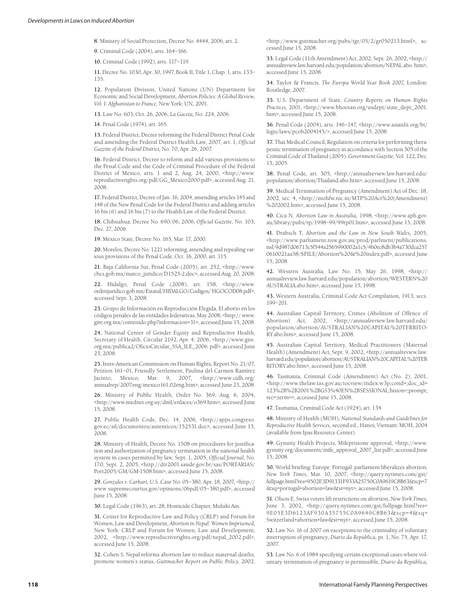**8.** Ministry of Social Protection, Decree No. 4444, 2006, art. 2.

**9.** Criminal Code (2004), arts. 164–166.

**10.** Criminal Code (1992), arts. 117–119.

**11.** Decree No. 1030, Apr. 30, 1997, Book II, Title 1, Chap. 1, arts. 133– 135.

**12.** Population Division, United Nations (UN) Department for Economic and Social Development, *Abortion Policies: A Global Review, Vol. I: Afghanistan to France,* New York: UN, 2001.

**13.** Law No. 603, Oct. 26, 2006, *La Gaceta,* No. 224, 2006.

**14.** Penal Code (1974), art. 165.

**15.** Federal District, Decree reforming the Federal District Penal Code and amending the Federal District Health Law, 2007, art. 1, *Official Gazette of the Federal District,* No. 70, Apr. 26, 2007.

**16.** Federal District, Decree to reform and add various provisions to the Penal Code and the Code of Criminal Procedure of the Federal District of Mexico, arts. 1 and 2, Aug. 24, 2000, <http://www. reproductiverights.org/pdf/GG\_Mexico2000.pdf>, accessed Aug. 21, 2008.

**17.** Federal District, Decree of Jan. 16, 2004, amending articles 145 and 148 of the New Penal Code for the Federal District and adding articles 16 bis (6) and 16 bis (7) to the Health Law of the Federal District.

**18.** Chihuahua, Decree No. 690/06, 2006, *Official Gazette,* No. 103, Dec. 27, 2006.

**19.** Mexico State, Decree No. 165, Mar. 17, 2000.

**20.** Morelos, Decree No. 1221 reforming, amending and repealing various provisions of the Penal Code, Oct. 16, 2000, art. 115.

**21.** Baja California Sur, Penal Code (2005), art. 252, <http://www. cbcs.gob.mx/marco\_juridico/D1525-2.doc>, accessed Aug. 20, 2008.

**22.** Hidalgo, Penal Code (2008), art. 158, <http://www. ordenjuridico.gob.mx/Estatal/HIDALGO/Codigos/ HGOCOD08.pdf>, accessed Sept. 3, 2008.

**23.** Grupo de Información en Reproducción Elegida, El aborto en los códigos penales de las entidades federativas, May 2008, <http:// www. gire.org.mx/contenido.php?informacion=31>, accessed June 15, 2008.

**24.** National Center of Gender Equity and Reproductive Health, Secretary of Health, Circular 2192, Apr. 4, 2006, <http://www.gire. org.mx/publica2/OficioCircular\_SSA\_ILE\_2006. pdf>, accessed June 23, 2008.

**25.** Inter-American Commission on Human Rights, Report No. 21/07, Petition 161–01, Friendly Settlement, Paulina del Carmen Ramírez Jacinto, Mexico, Mar. 9, 2007, <http://www.cidh.org/ annualrep/2007eng/mexico161.02eng.htm>, accessed June 23, 2008.

**26.** Ministry of Public Health, Order No. 369, Aug. 6, 2004, <http://www.mednet.org.uy/dml/enlaces/o369.htm>, accessed June 15, 2008.

**27.** Public Health Code, Dec. 14, 2006, <http://apps.congreso. gov.ec/sil/documentos/autenticos/152531.doc>, accessed June 15, 2008.

**28.** Ministry of Health, Decree No. 1508 on procedures for justification and authorization of pregnancy termination in the national health system in cases permitted by law, Sept. 1, 2005, *Official Journal,* No. 170, Sept. 2, 2005, <http://dtr2001.saude.gov.br/sas/PORTARIAS/ Port2005/GM/GM-1508.htm>, accessed June 15, 2008.

**29.** *Gonzales v. Carhart,* U.S. Case No. 05–380, Apr. 18, 2007, <http:// www supremecourtus.gov/opinions/06pdf/05–380.pdf>, accessed June 15, 2008.

**30.** Legal Code (1963), art. 28, Homicide Chapter, Muluki Ain.

**31.** Center for Reproductive Law and Policy (CRLP) and Forum for Women, Law and Development, *Abortion in Nepal: Women Imprisoned,* New York: CRLP and Forum for Women, Law and Development, 2002, <http://www.reproductiverights.org/pdf/nepal\_2002.pdf>, accessed June 15, 2008.

**32.** Cohen S, Nepal reforms abortion law to reduce maternal deaths, promote women's status, *Guttmacher Report on Public Policy,* 2002, <http://www.guttmacher.org/pubs/tgr/05/2/gr050213.html>, accessed June 15, 2008.

**33.** Legal Code (11th Amendment) Act, 2002, Sept. 26, 2002, <http:// annualreview.law.harvard.edu/population/abortion/NEPAL.abo. htm>, accessed June 15, 2008.

**34.** Taylor & Francis, *The Europa World Year Book 2007,* London: Routledge, 2007.

**35.** U.S. Department of State, *Country Reports on Human Rights Practices,* 2001, <http://www.bhootan.org/usdept/state\_dept\_2001. htm>, accessed June 15, 2008.

**36.** Penal Code (2004), arts. 146–147, <http://www.asianlii.org/bt/ legis/laws/pcob2004145/>, accessed June 15, 2008.

**37.** Thai Medical Council, Regulation on criteria for performing therapeutic termination of pregnancy in accordance with Section 305 of the Criminal Code of Thailand (2005), *Government Gazette,* Vol. 122, Dec. 15, 2005.

**38.** Penal Code, art. 305, <http://annualreview.law.harvard.edu/ population/abortion/Thailand.abo.htm>, accessed June 15, 2008.

**39.** Medical Termination of Pregnancy (Amendment) Act of Dec. 18, 2002, sec. 4, <http://mohfw.nic.in/MTP%20Act%20(Amendment) %202002.htm>, accessed June 15, 2008.

**40.** Cica N, *Abortion Law in Australia,* 1998, <http://www.aph.gov. au/library/pubs/rp/1998–99/99rp01.htm>, accessed June 15, 2008.

**41.** Drabsch T, *Abortion and the Law in New South Wales,* 2005, <http://www.parliament.nsw.gov.au/prod/parlment/publications. nsf/9d987d06713c5f544a2565990002a1c5/4b0ec8db3b4a730dca257 0610021aa58/\$FILE/Abortion%20&%20index.pdf>, accessed June 15, 2008.

**42.** Western Australia, Law No. 15, May 26, 1998, <http:// annualreview.law.harvard.edu/population/abortion/WESTERN%20 AUSTRALIA.abo.htm>, accessed June 15, 1998.

**43.** Western Australia, Criminal Code Act Compilation, 1913, secs. 199–201.

**44.** Australian Capital Territory, Crimes (Abolition of Offence of Abortion) Act, 2002, <http://annualreview.law.harvard.edu/ population/abortion/AUSTRALIAN%20CAPITAL%20TERRITO-RY.abo.htm>, accessed June 15, 2008.

**45.** Australian Capital Territory, Medical Practitioners (Maternal Health) (Amendment) Act, Sept. 9, 2002, <http://annualreview.law. harvard.edu/population/abortion/AUSTRALIAN%20CAPITAL%20TER RITORY.abo.htm>, accessed June 15, 2008.

**46.** Tasmania, Criminal Code (Amendment) Act (No. 2), 2001, <http://www.thelaw.tas.gov.au/tocview/index.w3p;cond=;doc\_id= 123%2B%2B2001%2BGS3%40EN%2BSESSIONAL;histon=;prompt; rec=;term=>, accessed June 15, 2008.

**47.** Tasmania, Criminal Code Act (1924), art. 134.

**48.** Ministry of Health (MOH), *National Standards and Guidelines for Reproductive Health Services,* second ed., Hanoi, Vietnam: MOH, 2004 (available from Ipas Resource Center).

**49.** Gynuity Health Projects, Mifepristone approval, <http://www. gynuity.org/documents/mife\_approval\_2007\_list.pdf>, accessed June 15, 2008.

**50.** World briefing: Europe: Portugal: parliament liberalizes abortion, *New York Times,* Mar. 10, 2007, <http://query.nytimes.com/gst/ fullpage.html?res=9502E3D91331F933A25750C0A9619C8B63&scp=7 &sq=portugal+abortion+law&st=nyt>, accessed June 15, 2008.

**51.** Olson E, Swiss voters lift restrictions on abortion, *New York Times,* June 3, 2002, <http://query.nytimes.com/gst/fullpage.html?res= 9E05E3D6123AF930A35755C0A9649C8B63&scp=4&sq= Switzerland+abortion+law&st=nyt>, accessed June 15, 2008.

**52.** Law No. 16 of 2007 on exceptions to the criminality of voluntary interruption of pregnancy, *Diario da República,* pt. 1, No. 75, Apr. 17, 2007.

**53.** Law No. 6 of 1984 specifying certain exceptional cases where voluntary termination of pregnancy is permissible, *Diario da República,*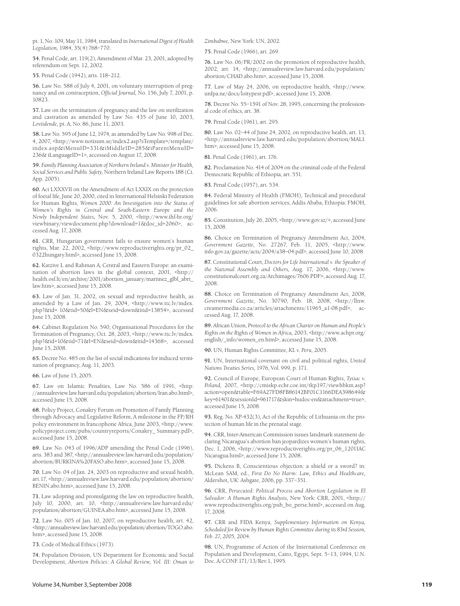pt. 1, No. 109, May 11, 1984, translated in *International Digest of Health Legislation,* 1984, 35(4):768–770.

**54.** Penal Code, art. 119(2), Amendment of Mar. 23, 2001, adopted by referendum on Sept. 12, 2002.

**55.** Penal Code (1942), arts. 118–212.

**56.** Law No. 588 of July 4, 2001, on voluntary interruption of pregnancy and on contraception, *Official Journal,* No. 156, July 7, 2001, p. 10823.

**57.** Law on the termination of pregnancy and the law on sterilization and castration as amended by Law No. 435 of June 10, 2003, *Lovtidende,* pt. A, No. 86, June 11, 2003.

**58.** Law No. 595 of June 12, 1974, as amended by Law No. 998 of Dec. 4, 2007, <http://www.notisum.se/index2.asp?sTemplate=/template/ index.asp&iMenuID=331&iMiddleID=285&iParentMenuID= 236& iLanguageID=1>, accessed on August 17, 2008.

**59.** *Family Planning Association of Northern Ireland v. Ministerfor Health, Social Services and Public Safety,* Northern Ireland Law Reports 188 (Ct. App. 2005).

**60.** Act LXXXVII on the Amendment of Act LXXIX on the protection of foetal life, June 20, 2000, cited in International Helsinki Federation for Human Rights, *Women 2000: An Investigation into the Status of Women's Rights in Central and South-Eastern Europe and the Newly Independent States,* Nov. 5, 2000, <http://www.ihf-hr.org/ viewbinary/viewdocument.php?download=1&doc\_id=2060>, accessed Aug. 17, 2008.

**61.** CRR, Hungarian government fails to ensure women's human rights, Mar. 22, 2002, <http://www.reproductiverights.org/pr\_02\_ 0322hungary.html>, accessed June 15, 2008.

**62.** Katzive L and Rahman A, Central and Eastern Europe: an examination of abortion laws in the global context, 2001, <http:// health.osf.lt/en/archive/2001/abortion\_january/martinez\_glbl\_abrt\_ law.htm>, accessed June 15, 2008.

**63.** Law of Jan. 31, 2002, on sexual and reproductive health, as amended by a Law of Jan. 29, 2004, <http://www.ttc.lv/index. php?&id= 10&tid=50&l=EN&seid=down&itid=13854>, accessed June 15, 2008.

**64.** Cabinet Regulation No. 590, Organisational Procedures for the Termination of Pregnancy, Oct. 28, 2003, <http://www.ttc.lv/index. php?&id=10&tid=71&l=EN&seid=down&itid=14368>, accessed June 15, 2008.

**65.** Decree No. 485 on the list of social indications for induced termination of pregnancy, Aug. 11, 2003.

**66.** Law of June 15, 2005.

**67.** Law on Islamic Penalties, Law No. 586 of 1991, <http: //annualreview.law.harvard.edu/population/abortion/Iran.abo.html>, accessed June 15, 2008.

**68.** Policy Project, Conakry Forum on Promotion of Family Planning through Advocacy and Legislative Reform, A milestone in the FP/RH policy environment in francophone Africa, June 2003, <http://www. policyproject.com/pubs/countryreports/Conakry\_ Summary.pdf>, accessed June 15, 2008.

**69.** Law No. 043 of 1996/ADP amending the Penal Code (1996), arts. 383 and 387, <http://annualreview.law.harvard.edu/population/ abortion/BURKINA%20FASO.abo.htm>, accessed June 15, 2008.

**70.** Law No. 04 of Jan. 24, 2003 on reproductive and sexual health, art.17, <http://annualreview.law.harvard.edu/population/abortion/ BENIN.abo.htm>, accessed June 15, 2008.

**71.** Law adopting and promulgating the law on reproductive health, July 10, 2000, art. 10, <http://annualreview.law.harvard.edu/ population/abortion/GUINEA.abo.htm>, accessed June 15, 2008.

**72.** Law No. 005 of Jan. 10, 2007, on reproductive health, art. 42, <http://annualreview.law.harvard.edu/population/abortion/TOGO.abo. htm>, accessed June 15, 2008.

**73.** Code of Medical Ethics (1973).

**74.** Population Division, UN Department for Economic and Social Development, *Abortion Policies: A Global Review, Vol. III: Oman to*

*Zimbabwe,* New York: UN, 2002.

**75.** Penal Code (1966), art. 269.

**76.** Law No. 06/PR/2002 on the promotion of reproductive health, 2002, art. 14, <http://annualreview.law.harvard.edu/population/ abortion/CHAD.abo.htm>, accessed June 15, 2008.

**77.** Law of May 24, 2006, on reproductive health, <http://www. unfpa.ne/docs/loitypesr.pdf>, accessed June 15, 2008.

**78.** Decree No. 55–1591 of Nov. 28, 1995, concerning the professional code of ethics, art. 38.

**79.** Penal Code (1961), art. 295.

**80.** Law No. 02–44 of June 24, 2002, on reproductive health, art. 13, <http://annualreview.law.harvard.edu/population/abortion/MALI. htm>, accessed June 15, 2008.

**81.** Penal Code (1961), art. 176.

**82.** Proclamation No. 414 of 2004 on the criminal code of the Federal Democratic Republic of Ethiopia, art. 551.

**83.** Penal Code (1957), art. 534.

**84.** Federal Ministry of Health (FMOH), Technical and procedural guidelines for safe abortion services, Addis Ababa, Ethiopia: FMOH, 2006.

**85.** Constitution, July 26, 2005, <http://www.gov.sz/>, accessed June 15, 2008.

**86.** Choice on Termination of Pregnancy Amendment Act, 2004, *Government Gazette,* No. 27267, Feb. 11, 2005, <http://www. info.gov.za/gazette/acts/2004/a38–04.pdf>, accessed June 10, 2008.

**87.** Constitutional Court, *Doctors for Life International v. the Speaker of the National Assembly and Others,* Aug. 17, 2006, <http://www. constitutionalcourt.org.za/Archimages/7606.PDF>, accessed Aug. 17, 2008.

**88.** Choice on Termination of Pregnancy Amendment Act, 2008, *Government Gazette,* No. 30790, Feb. 18, 2008, <http://llnw. creamermedia.co.za/articles/attachments/11965\_a1-08.pdf>, accessed Aug. 17, 2008.

**89.** African Union, *Protocol to the African Charter on Human and People's Rights on the Rights of Women in Africa,* 2003, <http://www.achpr.org/ english/ info/women\_en.html>, accessed June 15, 2008.

**90.** UN, Human Rights Committee, *KL v. Peru,* 2005.

**91.** UN, International covenant on civil and political rights, *United Nations Treaties Series,* 1976, Vol. 999, p. 171.

**92.** Council of Europe, European Court of Human Rights, *Tysiac v. Poland,* 2007, <http://cmiskp.echr.coe.int/tkp197/viewhbkm.asp? action=open&table=F69A27FD8FB86142BF01C1166DEA398649& key=61401&sessionId=961717&skin=hudoc-en&attachment=true>, accessed June 15, 2008.

**93.** Reg. No. XP-432(3), Act of the Republic of Lithuania on the protection of human life in the prenatal stage.

**94.** CRR, Inter-American Commission issues landmark statement declaring Nicaragua's abortion ban jeopardizes women's human rights, Dec. 1, 2006, <http://www.reproductiverights.org/pr\_06\_1201IAC Nicaragua.html>, accessed June 15, 2008.

**95.** Dickens B, Conscientious objection: a shield or a sword? in: McLean SAM, ed., *First Do No Harm: Law, Ethics and Healthcare,* Aldershot, UK: Ashgate, 2006, pp. 337–351.

**96.** CRR, *Persecuted: Political Process and Abortion Legislation in El Salvador: A Human Rights Analysis,* New York: CRR, 2001, <http:// www.reproductiverights.org/pub\_bo\_perse.html>, accessed on Aug. 17, 2008.

**97.** CRR and FIDA Kenya, *Supplementary Information on Kenya, Scheduled for Review by Human Rights Committee during its 83rd Session, Feb. 27, 2005,* 2004.

**98.** UN, Programme of Action of the International Conference on Population and Development, Cairo, Egypt, Sept. 5–13, 1994, U.N. Doc. A/CONF.171/13/Rev.1, 1995.